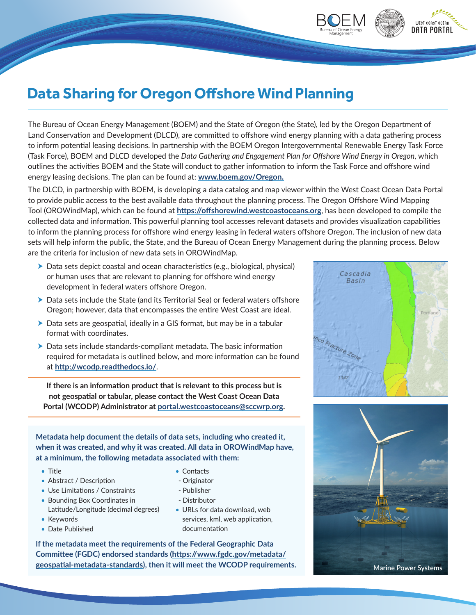## **Data Sharing for Oregon Offshore Wind Planning**

The Bureau of Ocean Energy Management (BOEM) and the State of Oregon (the State), led by the Oregon Department of Land Conservation and Development (DLCD), are committed to offshore wind energy planning with a data gathering process to inform potential leasing decisions. In partnership with the BOEM Oregon Intergovernmental Renewable Energy Task Force (Task Force), BOEM and DLCD developed the *Data Gathering and Engagement Plan for Offshore Wind Energy in Oregon,* which outlines the activities BOEM and the State will conduct to gather information to inform the Task Force and offshore wind energy leasing decisions. The plan can be found at: **[www.boem.gov/Oregon](https://doimspp.sharepoint.com/sites/PacificRegion/Shared%20Documents/Correspondence%20Reviews/OSR%20Reviews/2020-11-03%20OROWindMap%20One%20Pager/www.boem.gov/Oregon).**

The DLCD, in partnership with BOEM, is developing a data catalog and map viewer within the West Coast Ocean Data Portal to provide public access to the best available data throughout the planning process. The Oregon Offshore Wind Mapping Tool (OROWindMap), which can be found at **<https://offshorewind.westcoastoceans.org>**, has been developed to compile the collected data and information. This powerful planning tool accesses relevant datasets and provides visualization capabilities to inform the planning process for offshore wind energy leasing in federal waters offshore Oregon. The inclusion of new data sets will help inform the public, the State, and the Bureau of Ocean Energy Management during the planning process. Below are the criteria for inclusion of new data sets in OROWindMap.

- $\triangleright$  Data sets depict coastal and ocean characteristics (e.g., biological, physical) or human uses that are relevant to planning for offshore wind energy development in federal waters offshore Oregon.
- $\triangleright$  Data sets include the State (and its Territorial Sea) or federal waters offshore Oregon; however, data that encompasses the entire West Coast are ideal.
- $\triangleright$  Data sets are geospatial, ideally in a GIS format, but may be in a tabular format with coordinates.
- $\blacktriangleright$  Data sets include standards-compliant metadata. The basic information required for metadata is outlined below, and more information can be found at **http://wcodp.readthedocs.io/**.

**If there is an information product that is relevant to this process but is not geospatial or tabular, please contact the West Coast Ocean Data Portal (WCODP) Administrator at [portal.westcoastoceans@sccwrp.org](mailto:portal.westcoastoceans@sccwrp.org).**

**Metadata help document the details of data sets, including who created it, when it was created, and why it was created. All data in OROWindMap have, at a minimum, the following metadata associated with them:** 

- Title
- Abstract / Description
- Use Limitations / Constraints
- Bounding Box Coordinates in Latitude/Longitude (decimal degrees)
- Keywords
- Date Published
- Contacts
- Originator
- Publisher
- Distributor
- URLs for data download, web services, kml, web application, documentation

**If the metadata meet the requirements of the Federal Geographic Data Committee (FGDC) endorsed standards (https://www.fgdc.gov/metadata/ geospatial-metadata-standards), then it will meet the WCODP requirements.**



WEST COAST OCEAN **DATA PORTAL** 



**Marine Power Systems**